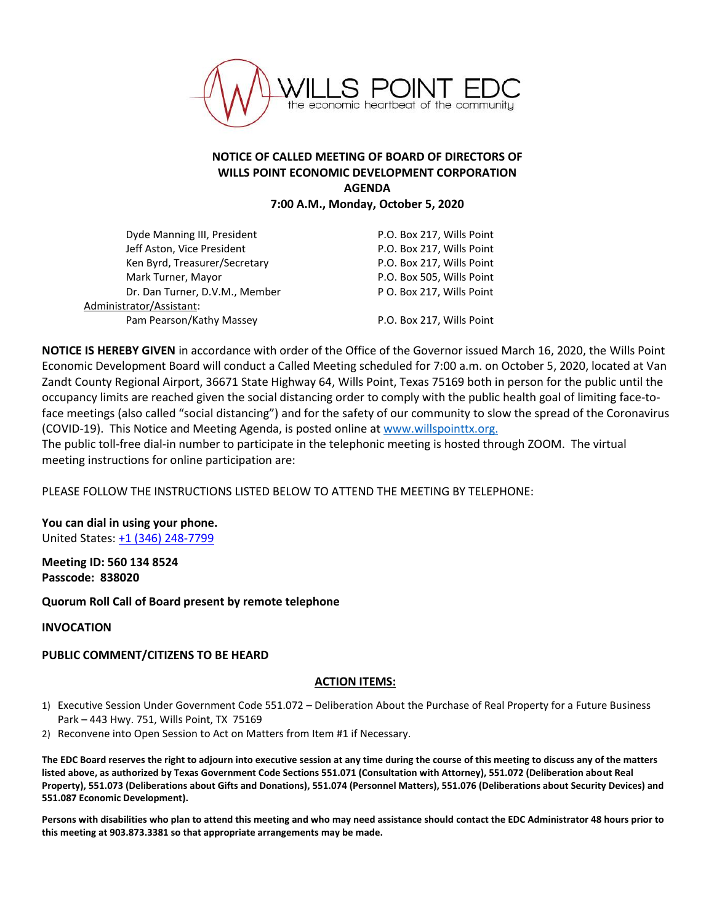

## **NOTICE OF CALLED MEETING OF BOARD OF DIRECTORS OF WILLS POINT ECONOMIC DEVELOPMENT CORPORATION AGENDA**

**7:00 A.M., Monday, October 5, 2020**

| Dyde Manning III, President    | P.O. Box 217, Wills Point |
|--------------------------------|---------------------------|
| Jeff Aston, Vice President     | P.O. Box 217, Wills Point |
| Ken Byrd, Treasurer/Secretary  | P.O. Box 217, Wills Point |
| Mark Turner, Mayor             | P.O. Box 505, Wills Point |
| Dr. Dan Turner, D.V.M., Member | P O. Box 217, Wills Point |
| Administrator/Assistant:       |                           |
| Pam Pearson/Kathy Massey       | P.O. Box 217, Wills Point |
|                                |                           |

**NOTICE IS HEREBY GIVEN** in accordance with order of the Office of the Governor issued March 16, 2020, the Wills Point Economic Development Board will conduct a Called Meeting scheduled for 7:00 a.m. on October 5, 2020, located at Van Zandt County Regional Airport, 36671 State Highway 64, Wills Point, Texas 75169 both in person for the public until the occupancy limits are reached given the social distancing order to comply with the public health goal of limiting face-toface meetings (also called "social distancing") and for the safety of our community to slow the spread of the Coronavirus (COVID-19). This Notice and Meeting Agenda, is posted online at [www.willspointtx.org.](http://www.willspointtx.org/)

The public toll-free dial-in number to participate in the telephonic meeting is hosted through ZOOM. The virtual meeting instructions for online participation are:

PLEASE FOLLOW THE INSTRUCTIONS LISTED BELOW TO ATTEND THE MEETING BY TELEPHONE:

**You can dial in using your phone.**  United States[: +1 \(346\) 248-7799](tel:+15713173112,,775695421)

**Meeting ID: 560 134 8524 Passcode: 838020**

**Quorum Roll Call of Board present by remote telephone**

**INVOCATION**

## **PUBLIC COMMENT/CITIZENS TO BE HEARD**

## **ACTION ITEMS:**

- 1) Executive Session Under Government Code 551.072 Deliberation About the Purchase of Real Property for a Future Business Park – 443 Hwy. 751, Wills Point, TX 75169
- 2) Reconvene into Open Session to Act on Matters from Item #1 if Necessary.

**The EDC Board reserves the right to adjourn into executive session at any time during the course of this meeting to discuss any of the matters listed above, as authorized by Texas Government Code Sections 551.071 (Consultation with Attorney), 551.072 (Deliberation about Real Property), 551.073 (Deliberations about Gifts and Donations), 551.074 (Personnel Matters), 551.076 (Deliberations about Security Devices) and 551.087 Economic Development).**

**Persons with disabilities who plan to attend this meeting and who may need assistance should contact the EDC Administrator 48 hours prior to this meeting at 903.873.3381 so that appropriate arrangements may be made.**